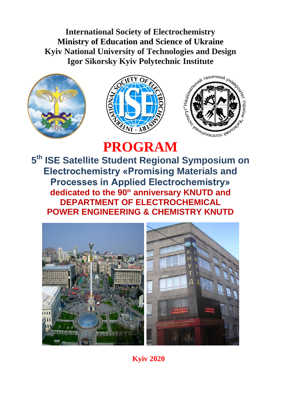**International Society of Electrochemistry [Ministry of Education and](http://context.reverso.net/%D0%BF%D0%B5%D1%80%D0%B5%D0%B2%D0%BE%D0%B4/%D0%B0%D0%BD%D0%B3%D0%BB%D0%B8%D0%B9%D1%81%D0%BA%D0%B8%D0%B9-%D1%80%D1%83%D1%81%D1%81%D0%BA%D0%B8%D0%B9/Ministry+of+education+and+science+of+Ukraine) Science of Ukraine Kyiv National University of Technologies and Design**







# **PROGRAM**

**5 th ISE Satellite Student Regional Symposium on Electrochemistry «Promising Materials and Processes in Applied Electrochemistry» dedicated to the 90th anniversary KNUTD and DEPARTMENT OF ELECTROCHEMICAL POWER ENGINEERING & CHEMISTRY KNUTD**



**Kyiv 2020**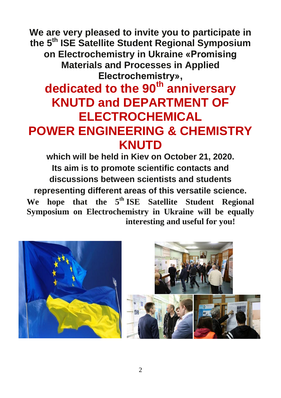**We are very pleased to invite you to participate in the 5 th ISE Satellite Student Regional Symposium on Electrochemistry in Ukraine «Promising Materials and Processes in Applied Electrochemistry»,**

# **dedicated to the 90th anniversary KNUTD and DEPARTMENT OF ELECTROCHEMICAL POWER ENGINEERING & CHEMISTRY KNUTD**

**which will be held in Kiev on October 21, 2020. Its aim is to promote scientific contacts and discussions between scientists and students representing different areas of this versatile science.** We hope that the 5<sup>th</sup> ISE Satellite Student Regional **Symposium on Electrochemistry in Ukraine will be equally interesting and useful for you!**



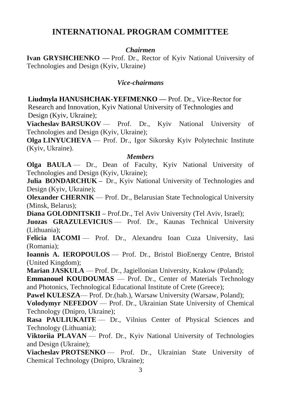## **INTERNATIONAL PROGRAM COMMITTEE**

### *Chairmen*

**Ivan GRYSHCHENKO** — Prof. Dr., Rector of Kyiv National University of Technologies and Design (Kyiv, Ukraine)

### *Vice-chairmans*

**Liudmyla HANUSHCHAK-YEFIMENKO —** Prof. Dr., Vice-Rector for Research and Innovation, Kyiv National University of Technologies and Design (Kyiv, Ukraine);

**Viacheslav BARSUKOV** — Prof. Dr., Kyiv National University of Technologies and Design (Kyiv, Ukraine);

**Olga LINYUCHEVA** — Prof. Dr., Igor Sikorsky Kyiv Polytechnic Institute (Kyiv, Ukraine).

#### *Members*

**Olga BAULA** — Dr., Dean of Faculty, Kyiv National University of Technologies and Design (Kyiv, Ukraine);

**Julia BONDARCHUK** – Dr., Kyiv National University of Technologies and Design (Kyiv, Ukraine);

**Olexander CHERNIK** — Prof. Dr., Belarusian State Technological University (Minsk, Belarus);

**Diana GOLODNITSKII –** Prof.Dr., Tel Aviv University (Tel Aviv, Israel);

**Juozas GRAZULEVICIUS** — Prof. Dr., Kaunas Technical University (Lithuania);

Felicia IACOMI — Prof. Dr., Alexandru Ioan Cuza University, Iasi (Romania);

**Ioannis A. IEROPOULOS** — Prof. Dr., Bristol BioEnergy Centre, Bristol (United Kingdom);

**Marian JASKULA** — Prof. Dr., Jagiellonian University, Krakow (Poland);

**Emmanouel KOUDOUMAS** — Prof. Dr., Center of Materials Technology and Photonics, Technological Educational Institute of Crete (Greece);

**Pawel KULESZA—** Prof. Dr.(hab.), Warsaw University (Warsaw, Poland);

**Volodymyr NEFEDOV** — Prof. Dr., Ukrainian State University of Chemical Technology (Dnipro, Ukraine);

Rasa PAULIUKAITE — Dr., Vilnius Center of Physical Sciences and Technology (Lithuania);

**Viktoriia PLAVAN** — Prof. Dr., Kyiv National University of Technologies and Design (Ukraine);

**Viacheslav PROTSENKO** — Prof. Dr., Ukrainian State University of Chemical Technology (Dnipro, Ukraine);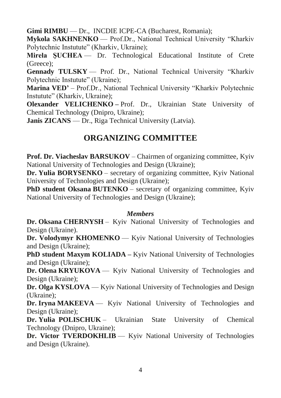**Gimi RIMBU** — Dr., INCDIE ICPE-CA (Bucharest, Romania);

**Mykola SAKHNENKO** — Prof.Dr., National Technical University "Kharkiv Polytechnic Instutute" (Kharkiv, Ukraine);

**Mirela ŞUCHEA** — Dr. Technological Educational Institute of Crete (Greece);

**Gennady TULSKY** — Prof. Dr., National Technical University "Kharkiv Polytechnic Instutute" (Ukraine);

**Marina VED'** – Prof.Dr., National Technical University "Kharkiv Polytechnic Instutute" (Kharkiv, Ukraine);

**Olexander VELICHENKO** – Prof. Dr., Ukrainian State University of Chemical Technology (Dnipro, Ukraine);

**Janis ZICANS** — Dr., Riga Technical University (Latvia).

## **ORGANIZING COMMITTEE**

**Prof. Dr. Viacheslav BARSUKOV** – Chairmen of organizing committee, Kyiv National University of Technologies and Design (Ukraine);

**Dr. Yulia BORYSENKO** – secretary of organizing committee, Kyiv National University of Technologies and Design (Ukraine);

**PhD student Oksana BUTENKO** – secretary of organizing committee, Kyiv National University of Technologies and Design (Ukraine);

#### *Members*

**Dr. Oksana CHERNYSH** – Kyiv National University of Technologies and Design (Ukraine).

**Dr. Volodymyr KHOMENKO** — Kyiv National University of Technologies and Design (Ukraine);

**PhD student Maxym KOLIADA** – Kyiv National University of Technologies and Design (Ukraine);

**Dr. Olena KRYUKOVA** — Kyiv National University of Technologies and Design (Ukraine);

**Dr. Olga KYSLOVA** — Kyiv National University of Technologies and Design (Ukraine);

**Dr. Iryna MAKEEVA** — Kyiv National University of Technologies and Design (Ukraine);

**Dr. Yulia POLISCHUK** – Ukrainian State University of Chemical Technology (Dnipro, Ukraine);

**Dr. Victor TVERDOKHLIB** — Kyiv National University of Technologies and Design (Ukraine).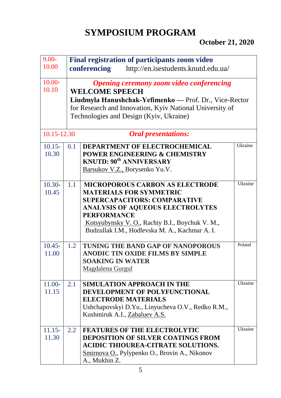# **SYMPOSIUM PROGRAM**

## **October 21, 2020**

| $9.00 -$                                  | Final registration of participants zoom video                                                                                                                                                                                             |                                                                                                                                                                                                                                                                                       |         |
|-------------------------------------------|-------------------------------------------------------------------------------------------------------------------------------------------------------------------------------------------------------------------------------------------|---------------------------------------------------------------------------------------------------------------------------------------------------------------------------------------------------------------------------------------------------------------------------------------|---------|
| 10.00                                     |                                                                                                                                                                                                                                           | http://en.isestudents.knutd.edu.ua/<br>conferencing                                                                                                                                                                                                                                   |         |
| $10.00 -$<br>10.10                        | <b>Opening ceremony zoom video conferencing</b><br><b>WELCOME SPEECH</b><br>Liudmyla Hanushchak-Yefimenko — Prof. Dr., Vice-Rector<br>for Research and Innovation, Kyiv National University of<br>Technologies and Design (Kyiv, Ukraine) |                                                                                                                                                                                                                                                                                       |         |
| 10.15-12.30<br><b>Oral presentations:</b> |                                                                                                                                                                                                                                           |                                                                                                                                                                                                                                                                                       |         |
| $10.15 -$<br>10.30                        | 0.1                                                                                                                                                                                                                                       | <b>DEPARTMENT OF ELECTROCHEMICAL</b><br>POWER ENGINEERING & CHEMISTRY<br><b>KNUTD: 90th ANNIVERSARY</b><br>Barsukov V.Z., Borysenko Yu.V.                                                                                                                                             | Ukraine |
| $10.30 -$<br>10.45                        | 1.1                                                                                                                                                                                                                                       | <b>MICROPOROUS CARBON AS ELECTRODE</b><br><b>MATERIALS FOR SYMMETRIC</b><br><b>SUPERCAPACITORS: COMPARATIVE</b><br><b>ANALYSIS OF AQUEOUS ELECTROLYTES</b><br><b>PERFORMANCE</b><br>Kotsyubynsky V. O., Rachiy B.I., Boychuk V. M.,<br>Budzullak I.M., Hodlevska M. A., Kachmar A. I. | Ukraine |
| $10.45 -$<br>11.00                        | 1.2                                                                                                                                                                                                                                       | TUNING THE BAND GAP OF NANOPOROUS<br><b>ANODIC TIN OXIDE FILMS BY SIMPLE</b><br><b>SOAKING IN WATER</b><br>Magdalena Gurgul                                                                                                                                                           | Poland  |
| 11.00-<br>11.15                           | 2.1                                                                                                                                                                                                                                       | SIMULATION APPROACH IN THE<br>DEVELOPMENT OF POLYFUNCTIONAL<br><b>ELECTRODE MATERIALS</b><br>Ushchapovskyi D.Yu., Linyucheva O.V., Redko R.M.,<br>Kushmiruk A.I., Zabaluev A.S.                                                                                                       | Ukraine |
| $11.15 -$<br>11.30                        | 2.2                                                                                                                                                                                                                                       | <b>FEATURES OF THE ELECTROLYTIC</b><br><b>DEPOSITION OF SILVER COATINGS FROM</b><br><b>ACIDIC THIOUREA-CITRATE SOLUTIONS.</b><br>Smirnova O., Pylypenko O., Brovin A., Nikonov<br>A., Mukhin Z.                                                                                       | Ukraine |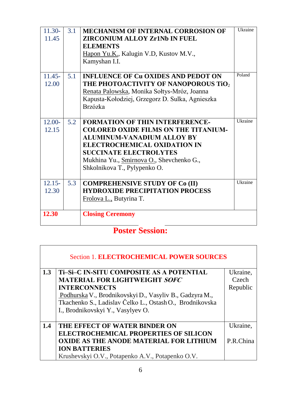| $11.30-$<br>11.45  | 3.1 | <b>MECHANISM OF INTERNAL CORROSION OF</b><br><b>ZIRCONIUM ALLOY Zr1Nb IN FUEL</b><br><b>ELEMENTS</b><br>Hapon Yu.K., Kalugin V.D, Kustov M.V.,<br>Kamyshan I.I.                                                                                                                | Ukraine |
|--------------------|-----|--------------------------------------------------------------------------------------------------------------------------------------------------------------------------------------------------------------------------------------------------------------------------------|---------|
| $11.45 -$<br>12.00 | 5.1 | <b>INFLUENCE OF Cu OXIDES AND PEDOT ON</b><br>THE PHOTOACTIVITY OF NANOPOROUS TiO $_2$<br>Renata Palowska, Monika Sołtys-Mróz, Joanna<br>Kapusta-Kołodziej, Grzegorz D. Sulka, Agnieszka<br><b>Brzózka</b>                                                                     | Poland  |
| $12.00 -$<br>12.15 | 5.2 | <b>FORMATION OF THIN INTERFERENCE-</b><br><b>COLORED OXIDE FILMS ON THE TITANIUM-</b><br><b>ALUMINUM-VANADIUM ALLOY BY</b><br><b>ELECTROCHEMICAL OXIDATION IN</b><br><b>SUCCINATE ELECTROLYTES</b><br>Mukhina Yu., Smirnova O., Shevchenko G.,<br>Shkolnikova T., Pylypenko O. | Ukraine |
| $12.15 -$<br>12.30 | 5.3 | <b>COMPREHENSIVE STUDY OF Co (II)</b><br><b>HYDROXIDE PRECIPITATION PROCESS</b><br>Frolova L., Butyrina T.                                                                                                                                                                     | Ukraine |
| 12.30              |     | <b>Closing Ceremony</b>                                                                                                                                                                                                                                                        |         |

# **Poster Session:**

| <b>Section 1. ELECTROCHEMICAL POWER SOURCES</b> |                                                          |           |  |
|-------------------------------------------------|----------------------------------------------------------|-----------|--|
| 1.3                                             | Ti-Si-C IN-SITU COMPOSITE AS A POTENTIAL                 | Ukraine,  |  |
|                                                 | <b>MATERIAL FOR LIGHTWEIGHT SOFC</b>                     | Czech     |  |
|                                                 | <b>INTERCONNECTS</b>                                     | Republic  |  |
|                                                 | Podhurska V., Brodnikovskyi D., Vasyliv B., Gadzyra M.,  |           |  |
|                                                 | Tkachenko S., Ladislav Čelko L., Ostash O., Brodnikovska |           |  |
|                                                 | I., Brodnikovskyi Y., Vasylyev O.                        |           |  |
|                                                 |                                                          |           |  |
| 1.4                                             | THE EFFECT OF WATER BINDER ON                            | Ukraine,  |  |
|                                                 | <b>ELECTROCHEMICAL PROPERTIES OF SILICON</b>             |           |  |
|                                                 | <b>OXIDE AS THE ANODE MATERIAL FOR LITHIUM</b>           | P.R.China |  |
|                                                 | <b>ION BATTERIES</b>                                     |           |  |
|                                                 | Krushevskyi O.V., Potapenko A.V., Potapenko O.V.         |           |  |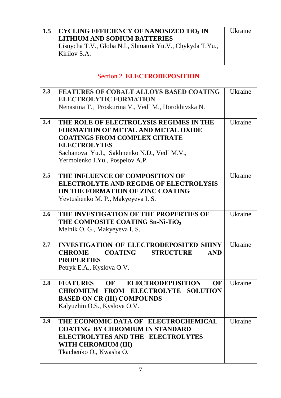| 1.5 | <b>CYCLING EFFICIENCY OF NANOSIZED TiO2 IN</b><br><b>LITHIUM AND SODIUM BATTERIES</b><br>Lisnycha T.V., Globa N.I., Shmatok Yu.V., Chykyda T.Yu.,<br>Kirilov S.A.                                                                     | Ukraine        |
|-----|---------------------------------------------------------------------------------------------------------------------------------------------------------------------------------------------------------------------------------------|----------------|
|     | <b>Section 2. ELECTRODEPOSITION</b>                                                                                                                                                                                                   |                |
| 2.3 | <b>FEATURES OF COBALT ALLOYS BASED COATING</b><br><b>ELECTROLYTIC FORMATION</b><br>Nenastina T., Proskurina V., Ved` M., Horokhivska N.                                                                                               | Ukraine        |
| 2.4 | THE ROLE OF ELECTROLYSIS REGIMES IN THE<br><b>FORMATION OF METAL AND METAL OXIDE</b><br><b>COATINGS FROM COMPLEX CITRATE</b><br><b>ELECTROLYTES</b><br>Sachanova Yu.I., Sakhnenko N.D., Ved` M.V.,<br>Yermolenko I.Yu., Pospelov A.P. | Ukraine        |
| 2.5 | THE INFLUENCE OF COMPOSITION OF<br><b>ELECTROLYTE AND REGIME OF ELECTROLYSIS</b><br>ON THE FORMATION OF ZINC COATING<br>Yevtushenko M. P., Makyeyeva I. S.                                                                            | Ukraine        |
| 2.6 | THE INVESTIGATION OF THE PROPERTIES OF<br>THE COMPOSITE COATING Sn-Ni-TiO <sub>2</sub><br>Melnik O. G., Makyeyeva I. S.                                                                                                               | <b>Ukraine</b> |
| 2.7 | <b>INVESTIGATION OF ELECTRODEPOSITED SHINY</b><br><b>COATING STRUCTURE</b><br><b>AND</b><br><b>CHROME</b><br><b>PROPERTIES</b><br>Petryk E.A., Kyslova O.V.                                                                           | Ukraine        |
| 2.8 | FEATURES OF ELECTRODEPOSITION<br>OF<br><b>CHROMIUM FROM ELECTROLYTE SOLUTION</b><br><b>BASED ON CR (III) COMPOUNDS</b><br>Kalyuzhin O.S., Kyslova O.V.                                                                                | Ukraine        |
| 2.9 | THE ECONOMIC DATA OF ELECTROCHEMICAL<br><b>COATING BY CHROMIUM IN STANDARD</b><br><b>ELECTROLYTES AND THE ELECTROLYTES</b><br>WITH CHROMIUM (III)<br>Tkachenko O., Kwasha O.                                                          | Ukraine        |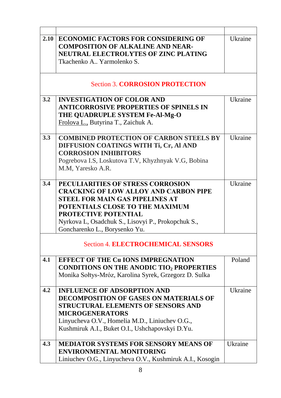| 2.10<br>Ukraine<br>ECONOMIC FACTORS FOR CONSIDERING OF<br><b>COMPOSITION OF ALKALINE AND NEAR-</b><br><b>NEUTRAL ELECTROLYTES OF ZINC PLATING</b><br>Tkachenko A., Yarmolenko S.<br><b>Section 3. CORROSION PROTECTION</b> |
|----------------------------------------------------------------------------------------------------------------------------------------------------------------------------------------------------------------------------|
|                                                                                                                                                                                                                            |
|                                                                                                                                                                                                                            |
|                                                                                                                                                                                                                            |
|                                                                                                                                                                                                                            |
|                                                                                                                                                                                                                            |
|                                                                                                                                                                                                                            |
| 3.2<br>Ukraine<br><b>INVESTIGATION OF COLOR AND</b>                                                                                                                                                                        |
| <b>ANTICORROSIVE PROPERTIES OF SPINELS IN</b>                                                                                                                                                                              |
| THE QUADRUPLE SYSTEM Fe-Al-Mg-O                                                                                                                                                                                            |
| Frolova L., Butyrina T., Zaichuk A.                                                                                                                                                                                        |
|                                                                                                                                                                                                                            |
| 3.3<br><b>COMBINED PROTECTION OF CARBON STEELS BY</b><br>Ukraine                                                                                                                                                           |
| DIFFUSION COATINGS WITH Ti, Cr, Al AND                                                                                                                                                                                     |
| <b>CORROSION INHIBITORS</b>                                                                                                                                                                                                |
| Pogrebova I.S, Loskutova T.V, Khyzhnyak V.G, Bobina                                                                                                                                                                        |
| M.M, Yaresko A.R.                                                                                                                                                                                                          |
| 3.4<br>PECULIARITIES OF STRESS CORROSION<br>Ukraine                                                                                                                                                                        |
| <b>CRACKING OF LOW ALLOY AND CARBON PIPE</b>                                                                                                                                                                               |
| <b>STEEL FOR MAIN GAS PIPELINES AT</b>                                                                                                                                                                                     |
| POTENTIALS CLOSE TO THE MAXIMUM                                                                                                                                                                                            |
| <b>PROTECTIVE POTENTIAL</b>                                                                                                                                                                                                |
| Nyrkova L, Osadchuk S., Lisovyi P., Prokopchuk S.,                                                                                                                                                                         |
| Goncharenko L., Borysenko Yu.                                                                                                                                                                                              |
|                                                                                                                                                                                                                            |
| <b>Section 4. ELECTROCHEMICAL SENSORS</b>                                                                                                                                                                                  |
| Poland<br>4.1<br><b>EFFECT OF THE Cu IONS IMPREGNATION</b>                                                                                                                                                                 |
| <b>CONDITIONS ON THE ANODIC TIO2 PROPERTIES</b>                                                                                                                                                                            |
| Monika Sołtys-Mróz, Karolina Syrek, Grzegorz D. Sulka                                                                                                                                                                      |
| 4.2<br><b>INFLUENCE OF ADSORPTION AND</b><br>Ukraine                                                                                                                                                                       |
| <b>DECOMPOSITION OF GASES ON MATERIALS OF</b>                                                                                                                                                                              |
| <b>STRUCTURAL ELEMENTS OF SENSORS AND</b>                                                                                                                                                                                  |
| <b>MICROGENERATORS</b>                                                                                                                                                                                                     |
| Linyucheva O.V., Homelia M.D., Liniuchev O.G.,                                                                                                                                                                             |
| Kushmiruk A.I., Buket O.I., Ushchapovskyi D.Yu.                                                                                                                                                                            |
| Ukraine<br>4.3<br><b>MEDIATOR SYSTEMS FOR SENSORY MEANS OF</b>                                                                                                                                                             |
| <b>ENVIRONMENTAL MONITORING</b>                                                                                                                                                                                            |
| Liniuchev O.G., Linyucheva O.V., Kushmiruk A.I., Kosogin                                                                                                                                                                   |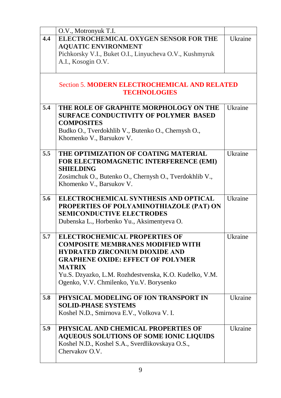|     | O.V., Motronyuk T.I.                                    |                |
|-----|---------------------------------------------------------|----------------|
| 4.4 | ELECTROCHEMICAL OXYGEN SENSOR FOR THE                   | Ukraine        |
|     | <b>AQUATIC ENVIRONMENT</b>                              |                |
|     | Pichkorsky V.I., Buket O.I., Linyucheva O.V., Kushmyruk |                |
|     | A.I., Kosogin O.V.                                      |                |
|     |                                                         |                |
|     | <b>Section 5. MODERN ELECTROCHEMICAL AND RELATED</b>    |                |
|     | <b>TECHNOLOGIES</b>                                     |                |
| 5.4 | THE ROLE OF GRAPHITE MORPHOLOGY ON THE                  | Ukraine        |
|     | <b>SURFACE CONDUCTIVITY OF POLYMER BASED</b>            |                |
|     | <b>COMPOSITES</b>                                       |                |
|     | Budko O., Tverdokhlib V., Butenko O., Chernysh O.,      |                |
|     | Khomenko V., Barsukov V.                                |                |
|     |                                                         |                |
| 5.5 | THE OPTIMIZATION OF COATING MATERIAL                    | Ukraine        |
|     | FOR ELECTROMAGNETIC INTERFERENCE (EMI)                  |                |
|     | <b>SHIELDING</b>                                        |                |
|     | Zosimchuk O., Butenko O., Chernysh O., Tverdokhlib V.,  |                |
|     | Khomenko V., Barsukov V.                                |                |
|     |                                                         |                |
| 5.6 | ELECTROCHEMICAL SYNTHESIS AND OPTICAL                   | <b>Ukraine</b> |
|     | PROPERTIES OF POLYAMINOTHIAZOLE (PAT) ON                |                |
|     | <b>SEMICONDUCTIVE ELECTRODES</b>                        |                |
|     | Dubenska L., Horbenko Yu., Aksimentyeva O.              |                |
|     |                                                         |                |
| 5.7 | <b>ELECTROCHEMICAL PROPERTIES OF</b>                    | Ukraine        |
|     | <b>COMPOSITE MEMBRANES MODIFIED WITH</b>                |                |
|     | <b>HYDRATED ZIRCONIUM DIOXIDE AND</b>                   |                |
|     | <b>GRAPHENE OXIDE: EFFECT OF POLYMER</b>                |                |
|     | <b>MATRIX</b>                                           |                |
|     | Yu.S. Dzyazko, L.M. Rozhdestvenska, K.O. Kudelko, V.M.  |                |
|     | Ogenko, V.V. Chmilenko, Yu.V. Borysenko                 |                |
|     |                                                         |                |
| 5.8 | PHYSICAL MODELING OF ION TRANSPORT IN                   | Ukraine        |
|     | <b>SOLID-PHASE SYSTEMS</b>                              |                |
|     | Koshel N.D., Smirnova E.V., Volkova V.I.                |                |
|     |                                                         |                |
| 5.9 | PHYSICAL AND CHEMICAL PROPERTIES OF                     | Ukraine        |
|     | <b>AQUEOUS SOLUTIONS OF SOME IONIC LIQUIDS</b>          |                |
|     | Koshel N.D., Koshel S.A., Sverdlikovskaya O.S.,         |                |
|     | Chervakov O.V.                                          |                |
|     |                                                         |                |